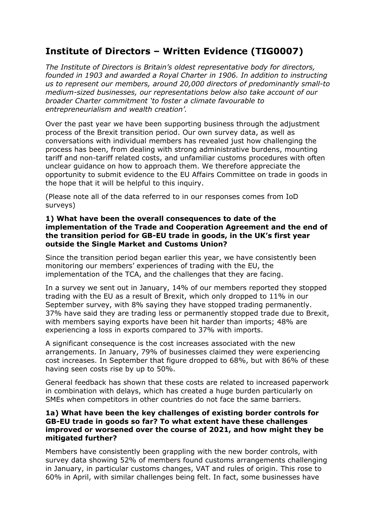# **Institute of Directors – Written Evidence (TIG0007)**

*The Institute of Directors is Britain's oldest representative body for directors, founded in 1903 and awarded a Royal Charter in 1906. In addition to instructing us to represent our members, around 20,000 directors of predominantly small-to medium-sized businesses, our representations below also take account of our broader Charter commitment 'to foster a climate favourable to entrepreneurialism and wealth creation'.*

Over the past year we have been supporting business through the adjustment process of the Brexit transition period. Our own survey data, as well as conversations with individual members has revealed just how challenging the process has been, from dealing with strong administrative burdens, mounting tariff and non-tariff related costs, and unfamiliar customs procedures with often unclear guidance on how to approach them. We therefore appreciate the opportunity to submit evidence to the EU Affairs Committee on trade in goods in the hope that it will be helpful to this inquiry.

(Please note all of the data referred to in our responses comes from IoD surveys)

## **1) What have been the overall consequences to date of the implementation of the Trade and Cooperation Agreement and the end of the transition period for GB-EU trade in goods, in the UK's first year outside the Single Market and Customs Union?**

Since the transition period began earlier this year, we have consistently been monitoring our members' experiences of trading with the EU, the implementation of the TCA, and the challenges that they are facing.

In a survey we sent out in January, 14% of our members reported they stopped trading with the EU as a result of Brexit, which only dropped to 11% in our September survey, with 8% saying they have stopped trading permanently. 37% have said they are trading less or permanently stopped trade due to Brexit, with members saying exports have been hit harder than imports; 48% are experiencing a loss in exports compared to 37% with imports.

A significant consequence is the cost increases associated with the new arrangements. In January, 79% of businesses claimed they were experiencing cost increases. In September that figure dropped to 68%, but with 86% of these having seen costs rise by up to 50%.

General feedback has shown that these costs are related to increased paperwork in combination with delays, which has created a huge burden particularly on SMEs when competitors in other countries do not face the same barriers.

# **1a) What have been the key challenges of existing border controls for GB-EU trade in goods so far? To what extent have these challenges improved or worsened over the course of 2021, and how might they be mitigated further?**

Members have consistently been grappling with the new border controls, with survey data showing 52% of members found customs arrangements challenging in January, in particular customs changes, VAT and rules of origin. This rose to 60% in April, with similar challenges being felt. In fact, some businesses have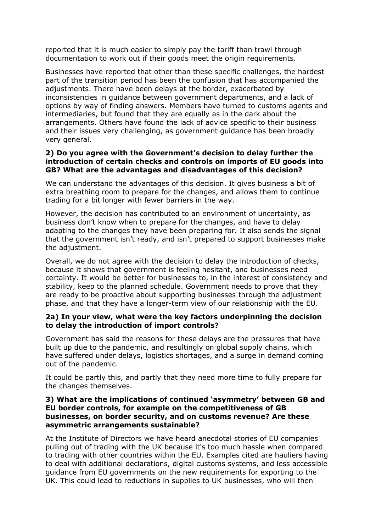reported that it is much easier to simply pay the tariff than trawl through documentation to work out if their goods meet the origin requirements.

Businesses have reported that other than these specific challenges, the hardest part of the transition period has been the confusion that has accompanied the adjustments. There have been delays at the border, exacerbated by inconsistencies in guidance between government departments, and a lack of options by way of finding answers. Members have turned to customs agents and intermediaries, but found that they are equally as in the dark about the arrangements. Others have found the lack of advice specific to their business and their issues very challenging, as government guidance has been broadly very general.

# **2) Do you agree with the Government's decision to delay further the introduction of certain checks and controls on imports of EU goods into GB? What are the advantages and disadvantages of this decision?**

We can understand the advantages of this decision. It gives business a bit of extra breathing room to prepare for the changes, and allows them to continue trading for a bit longer with fewer barriers in the way.

However, the decision has contributed to an environment of uncertainty, as business don't know when to prepare for the changes, and have to delay adapting to the changes they have been preparing for. It also sends the signal that the government isn't ready, and isn't prepared to support businesses make the adjustment.

Overall, we do not agree with the decision to delay the introduction of checks, because it shows that government is feeling hesitant, and businesses need certainty. It would be better for businesses to, in the interest of consistency and stability, keep to the planned schedule. Government needs to prove that they are ready to be proactive about supporting businesses through the adjustment phase, and that they have a longer-term view of our relationship with the EU.

# **2a) In your view, what were the key factors underpinning the decision to delay the introduction of import controls?**

Government has said the reasons for these delays are the pressures that have built up due to the pandemic, and resultingly on global supply chains, which have suffered under delays, logistics shortages, and a surge in demand coming out of the pandemic.

It could be partly this, and partly that they need more time to fully prepare for the changes themselves.

## **3) What are the implications of continued 'asymmetry' between GB and EU border controls, for example on the competitiveness of GB businesses, on border security, and on customs revenue? Are these asymmetric arrangements sustainable?**

At the Institute of Directors we have heard anecdotal stories of EU companies pulling out of trading with the UK because it's too much hassle when compared to trading with other countries within the EU. Examples cited are hauliers having to deal with additional declarations, digital customs systems, and less accessible guidance from EU governments on the new requirements for exporting to the UK. This could lead to reductions in supplies to UK businesses, who will then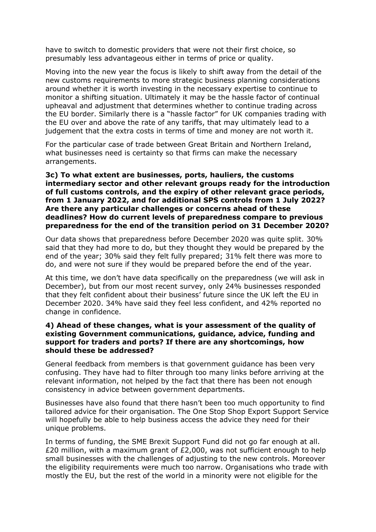have to switch to domestic providers that were not their first choice, so presumably less advantageous either in terms of price or quality.

Moving into the new year the focus is likely to shift away from the detail of the new customs requirements to more strategic business planning considerations around whether it is worth investing in the necessary expertise to continue to monitor a shifting situation. Ultimately it may be the hassle factor of continual upheaval and adjustment that determines whether to continue trading across the EU border. Similarly there is a "hassle factor" for UK companies trading with the EU over and above the rate of any tariffs, that may ultimately lead to a judgement that the extra costs in terms of time and money are not worth it.

For the particular case of trade between Great Britain and Northern Ireland, what businesses need is certainty so that firms can make the necessary arrangements.

# **3c) To what extent are businesses, ports, hauliers, the customs intermediary sector and other relevant groups ready for the introduction of full customs controls, and the expiry of other relevant grace periods, from 1 January 2022, and for additional SPS controls from 1 July 2022? Are there any particular challenges or concerns ahead of these deadlines? How do current levels of preparedness compare to previous preparedness for the end of the transition period on 31 December 2020?**

Our data shows that preparedness before December 2020 was quite split. 30% said that they had more to do, but they thought they would be prepared by the end of the year; 30% said they felt fully prepared; 31% felt there was more to do, and were not sure if they would be prepared before the end of the year.

At this time, we don't have data specifically on the preparedness (we will ask in December), but from our most recent survey, only 24% businesses responded that they felt confident about their business' future since the UK left the EU in December 2020. 34% have said they feel less confident, and 42% reported no change in confidence.

## **4) Ahead of these changes, what is your assessment of the quality of existing Government communications, guidance, advice, funding and support for traders and ports? If there are any shortcomings, how should these be addressed?**

General feedback from members is that government guidance has been very confusing. They have had to filter through too many links before arriving at the relevant information, not helped by the fact that there has been not enough consistency in advice between government departments.

Businesses have also found that there hasn't been too much opportunity to find tailored advice for their organisation. The One Stop Shop Export Support Service will hopefully be able to help business access the advice they need for their unique problems.

In terms of funding, the SME Brexit Support Fund did not go far enough at all. £20 million, with a maximum grant of £2,000, was not sufficient enough to help small businesses with the challenges of adjusting to the new controls. Moreover the eligibility requirements were much too narrow. Organisations who trade with mostly the EU, but the rest of the world in a minority were not eligible for the